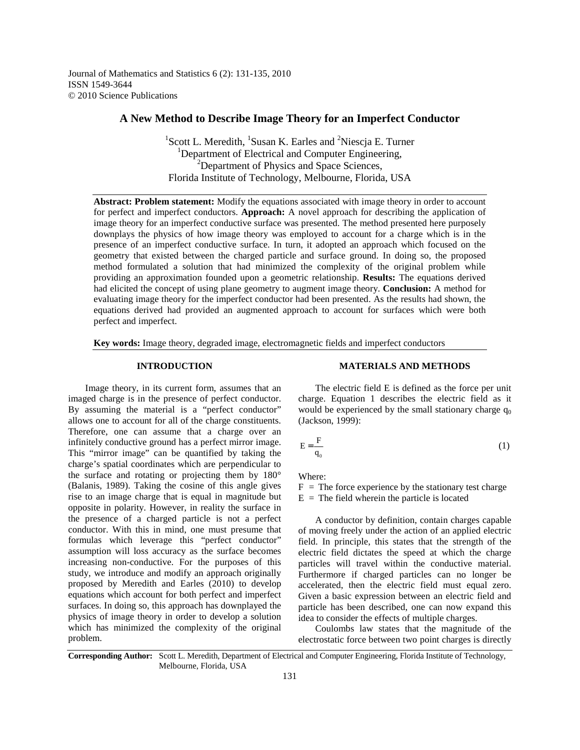Journal of Mathematics and Statistics 6 (2): 131-135, 2010 ISSN 1549-3644 © 2010 Science Publications

# **A New Method to Describe Image Theory for an Imperfect Conductor**

<sup>1</sup>Scott L. Meredith, <sup>1</sup>Susan K. Earles and <sup>2</sup>Niescja E. Turner <sup>1</sup>Department of Electrical and Computer Engineering, <sup>2</sup>Department of Physics and Space Sciences, Florida Institute of Technology, Melbourne, Florida, USA

**Abstract: Problem statement:** Modify the equations associated with image theory in order to account for perfect and imperfect conductors. **Approach:** A novel approach for describing the application of image theory for an imperfect conductive surface was presented. The method presented here purposely downplays the physics of how image theory was employed to account for a charge which is in the presence of an imperfect conductive surface. In turn, it adopted an approach which focused on the geometry that existed between the charged particle and surface ground. In doing so, the proposed method formulated a solution that had minimized the complexity of the original problem while providing an approximation founded upon a geometric relationship. **Results:** The equations derived had elicited the concept of using plane geometry to augment image theory. **Conclusion:** A method for evaluating image theory for the imperfect conductor had been presented. As the results had shown, the equations derived had provided an augmented approach to account for surfaces which were both perfect and imperfect.

**Key words:** Image theory, degraded image, electromagnetic fields and imperfect conductors

### **INTRODUCTION**

 Image theory, in its current form, assumes that an imaged charge is in the presence of perfect conductor. By assuming the material is a "perfect conductor" allows one to account for all of the charge constituents. Therefore, one can assume that a charge over an infinitely conductive ground has a perfect mirror image. This "mirror image" can be quantified by taking the charge's spatial coordinates which are perpendicular to the surface and rotating or projecting them by 180° (Balanis, 1989). Taking the cosine of this angle gives rise to an image charge that is equal in magnitude but opposite in polarity. However, in reality the surface in the presence of a charged particle is not a perfect conductor. With this in mind, one must presume that formulas which leverage this "perfect conductor" assumption will loss accuracy as the surface becomes increasing non-conductive. For the purposes of this study, we introduce and modify an approach originally proposed by Meredith and Earles (2010) to develop equations which account for both perfect and imperfect surfaces. In doing so, this approach has downplayed the physics of image theory in order to develop a solution which has minimized the complexity of the original problem.

### **MATERIALS AND METHODS**

 The electric field E is defined as the force per unit charge. Equation 1 describes the electric field as it would be experienced by the small stationary charge  $q_0$ (Jackson, 1999):

$$
E = \frac{F}{q_0} \tag{1}
$$

Where:

 $F =$  The force experience by the stationary test charge  $E =$  The field wherein the particle is located

 A conductor by definition, contain charges capable of moving freely under the action of an applied electric field. In principle, this states that the strength of the electric field dictates the speed at which the charge particles will travel within the conductive material. Furthermore if charged particles can no longer be accelerated, then the electric field must equal zero. Given a basic expression between an electric field and particle has been described, one can now expand this idea to consider the effects of multiple charges.

 Coulombs law states that the magnitude of the electrostatic force between two point charges is directly

**Corresponding Author:** Scott L. Meredith, Department of Electrical and Computer Engineering, Florida Institute of Technology, Melbourne, Florida, USA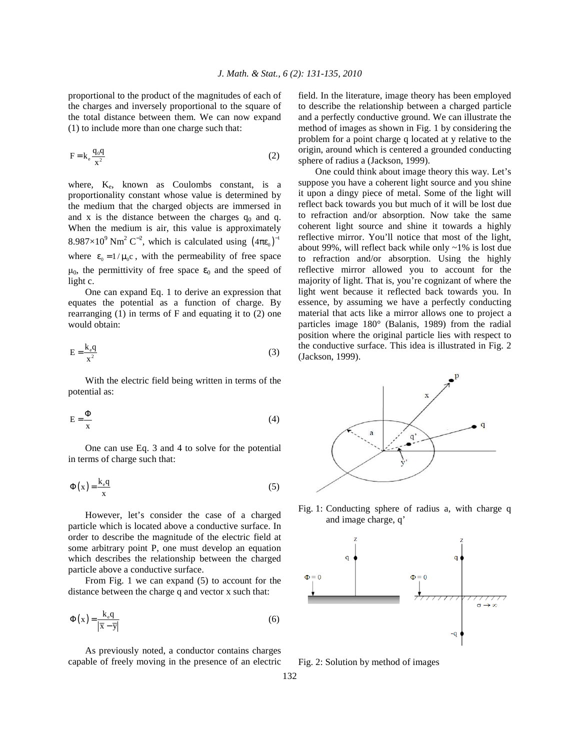proportional to the product of the magnitudes of each of the charges and inversely proportional to the square of the total distance between them. We can now expand (1) to include more than one charge such that:

$$
F = k_e \frac{q_0 q}{x^2} \tag{2}
$$

where,  $K_e$ , known as Coulombs constant, is a proportionality constant whose value is determined by the medium that the charged objects are immersed in and x is the distance between the charges  $q_0$  and q. When the medium is air, this value is approximately 8.987×10<sup>9</sup> Nm<sup>2</sup> C<sup>-2</sup>, which is calculated using  $(4\pi\epsilon_0)^{-1}$ where  $\varepsilon_0 = 1 / \mu_0 c$ , with the permeability of free space  $\mu_0$ , the permittivity of free space  $\varepsilon_0$  and the speed of light c.

 One can expand Eq. 1 to derive an expression that equates the potential as a function of charge. By rearranging  $(1)$  in terms of F and equating it to  $(2)$  one would obtain:

$$
E = \frac{k_e q}{x^2}
$$
 (3)

 With the electric field being written in terms of the potential as:

$$
E = \frac{\Phi}{x}
$$
 (4)

 One can use Eq. 3 and 4 to solve for the potential in terms of charge such that:

$$
\Phi(x) = \frac{k_e q}{x} \tag{5}
$$

 However, let's consider the case of a charged particle which is located above a conductive surface. In order to describe the magnitude of the electric field at some arbitrary point P, one must develop an equation which describes the relationship between the charged particle above a conductive surface.

 From Fig. 1 we can expand (5) to account for the distance between the charge q and vector x such that:

$$
\Phi(x) = \frac{k_e q}{|\overline{x} - \overline{y}|} \tag{6}
$$

 As previously noted, a conductor contains charges capable of freely moving in the presence of an electric field. In the literature, image theory has been employed to describe the relationship between a charged particle and a perfectly conductive ground. We can illustrate the method of images as shown in Fig. 1 by considering the problem for a point charge q located at y relative to the origin, around which is centered a grounded conducting sphere of radius a (Jackson, 1999).

 One could think about image theory this way. Let's suppose you have a coherent light source and you shine it upon a dingy piece of metal. Some of the light will reflect back towards you but much of it will be lost due to refraction and/or absorption. Now take the same coherent light source and shine it towards a highly reflective mirror. You'll notice that most of the light, about 99%, will reflect back while only ~1% is lost due to refraction and/or absorption. Using the highly reflective mirror allowed you to account for the majority of light. That is, you're cognizant of where the light went because it reflected back towards you. In essence, by assuming we have a perfectly conducting material that acts like a mirror allows one to project a particles image 180° (Balanis, 1989) from the radial position where the original particle lies with respect to the conductive surface. This idea is illustrated in Fig. 2 (Jackson, 1999).



Fig. 1: Conducting sphere of radius a, with charge q and image charge, q'



Fig. 2: Solution by method of images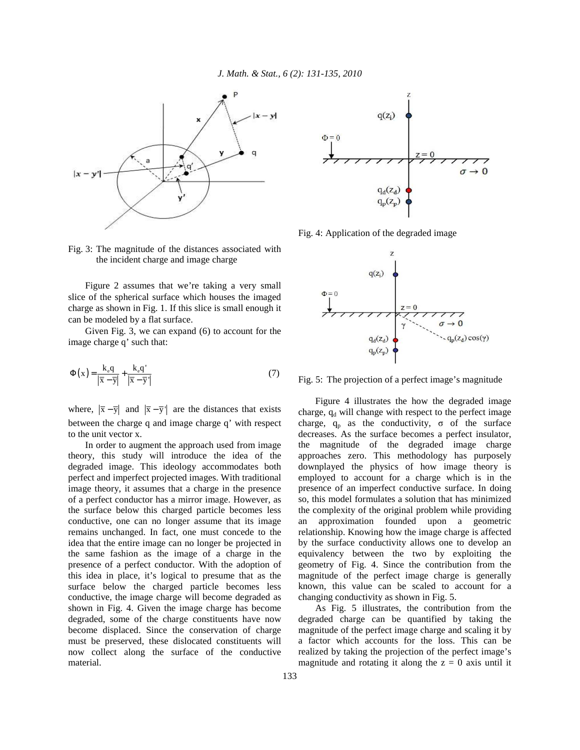

Fig. 3: The magnitude of the distances associated with the incident charge and image charge

 Figure 2 assumes that we're taking a very small slice of the spherical surface which houses the imaged charge as shown in Fig. 1. If this slice is small enough it can be modeled by a flat surface.

 Given Fig. 3, we can expand (6) to account for the image charge q' such that:

$$
\Phi(x) = \frac{k_e q}{|\overline{x} - \overline{y}|} + \frac{k_e q'}{|\overline{x} - \overline{y}|}
$$
(7)

where,  $|\overline{x} - \overline{y}|$  and  $|\overline{x} - \overline{y}|$  are the distances that exists between the charge q and image charge q' with respect to the unit vector x.

 In order to augment the approach used from image theory, this study will introduce the idea of the degraded image. This ideology accommodates both perfect and imperfect projected images. With traditional image theory, it assumes that a charge in the presence of a perfect conductor has a mirror image. However, as the surface below this charged particle becomes less conductive, one can no longer assume that its image remains unchanged. In fact, one must concede to the idea that the entire image can no longer be projected in the same fashion as the image of a charge in the presence of a perfect conductor. With the adoption of this idea in place, it's logical to presume that as the surface below the charged particle becomes less conductive, the image charge will become degraded as shown in Fig. 4. Given the image charge has become degraded, some of the charge constituents have now become displaced. Since the conservation of charge must be preserved, these dislocated constituents will now collect along the surface of the conductive material.



Fig. 4: Application of the degraded image



Fig. 5: The projection of a perfect image's magnitude

 Figure 4 illustrates the how the degraded image charge,  $q_d$  will change with respect to the perfect image charge,  $q_p$  as the conductivity,  $\sigma$  of the surface decreases. As the surface becomes a perfect insulator, the magnitude of the degraded image charge approaches zero. This methodology has purposely downplayed the physics of how image theory is employed to account for a charge which is in the presence of an imperfect conductive surface. In doing so, this model formulates a solution that has minimized the complexity of the original problem while providing an approximation founded upon a geometric relationship. Knowing how the image charge is affected by the surface conductivity allows one to develop an equivalency between the two by exploiting the geometry of Fig. 4. Since the contribution from the magnitude of the perfect image charge is generally known, this value can be scaled to account for a changing conductivity as shown in Fig. 5.

 As Fig. 5 illustrates, the contribution from the degraded charge can be quantified by taking the magnitude of the perfect image charge and scaling it by a factor which accounts for the loss. This can be realized by taking the projection of the perfect image's magnitude and rotating it along the  $z = 0$  axis until it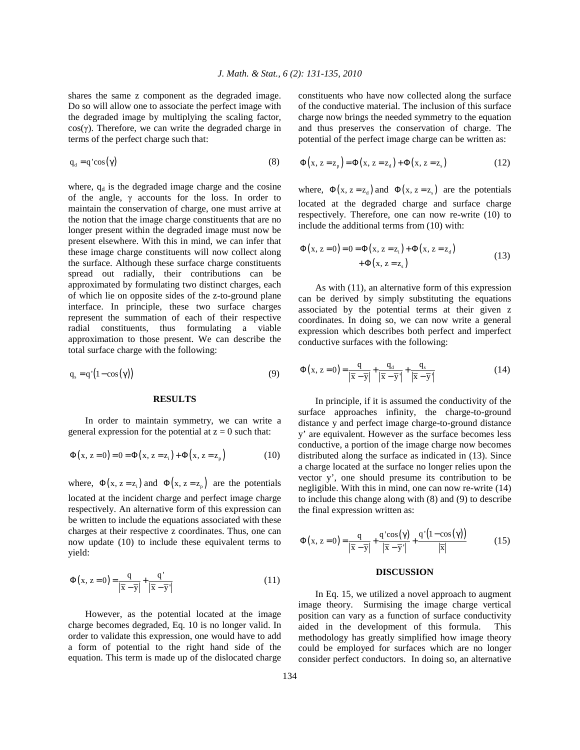shares the same z component as the degraded image. Do so will allow one to associate the perfect image with the degraded image by multiplying the scaling factor,  $cos(y)$ . Therefore, we can write the degraded charge in terms of the perfect charge such that:

$$
q_{d} = q' \cos(\gamma) \tag{8}
$$

where,  $q_d$  is the degraded image charge and the cosine of the angle,  $\gamma$  accounts for the loss. In order to maintain the conservation of charge, one must arrive at the notion that the image charge constituents that are no longer present within the degraded image must now be present elsewhere. With this in mind, we can infer that these image charge constituents will now collect along the surface. Although these surface charge constituents spread out radially, their contributions can be approximated by formulating two distinct charges, each of which lie on opposite sides of the z-to-ground plane interface. In principle, these two surface charges represent the summation of each of their respective radial constituents, thus formulating a viable approximation to those present. We can describe the total surface charge with the following:

$$
q_s = q'(1 - \cos(\gamma))
$$
 (9)

#### **RESULTS**

 In order to maintain symmetry, we can write a general expression for the potential at  $z = 0$  such that:

$$
\Phi(x, z = 0) = 0 = \Phi(x, z = z_i) + \Phi(x, z = z_p)
$$
\n(10)

where,  $\Phi(x, z = z_i)$  and  $\Phi(x, z = z_p)$  are the potentials located at the incident charge and perfect image charge respectively. An alternative form of this expression can be written to include the equations associated with these charges at their respective z coordinates. Thus, one can now update (10) to include these equivalent terms to yield:

$$
\Phi(x, z=0) = \frac{q}{|\overline{x} - \overline{y}|} + \frac{q'}{|\overline{x} - \overline{y}|}
$$
\n(11)

 However, as the potential located at the image charge becomes degraded, Eq. 10 is no longer valid. In order to validate this expression, one would have to add a form of potential to the right hand side of the equation. This term is made up of the dislocated charge constituents who have now collected along the surface of the conductive material. The inclusion of this surface charge now brings the needed symmetry to the equation and thus preserves the conservation of charge. The potential of the perfect image charge can be written as:

$$
\Phi(x, z = zp) = \Phi(x, z = zd) + \Phi(x, z = zs)
$$
\n(12)

where,  $\Phi(x, z = z_d)$  and  $\Phi(x, z = z_s)$  are the potentials located at the degraded charge and surface charge respectively. Therefore, one can now re-write (10) to include the additional terms from (10) with:

$$
\Phi(x, z=0) = 0 = \Phi(x, z = z_{i}) + \Phi(x, z = z_{d}) \n+ \Phi(x, z = z_{s})
$$
\n(13)

 As with (11), an alternative form of this expression can be derived by simply substituting the equations associated by the potential terms at their given z coordinates. In doing so, we can now write a general expression which describes both perfect and imperfect conductive surfaces with the following:

$$
\Phi(x, z=0) = \frac{q}{|\overline{x} - \overline{y}|} + \frac{q_d}{|\overline{x} - \overline{y}|} + \frac{q_s}{|\overline{x} - \overline{y}|}
$$
(14)

 In principle, if it is assumed the conductivity of the surface approaches infinity, the charge-to-ground distance y and perfect image charge-to-ground distance y' are equivalent. However as the surface becomes less conductive, a portion of the image charge now becomes distributed along the surface as indicated in (13). Since a charge located at the surface no longer relies upon the vector y', one should presume its contribution to be negligible. With this in mind, one can now re-write (14) to include this change along with (8) and (9) to describe the final expression written as:

$$
\Phi(x, z=0) = \frac{q}{|\overline{x} - \overline{y}|} + \frac{q' \cos(\gamma)}{|\overline{x} - \overline{y}|} + \frac{q'(1 - \cos(\gamma))}{|\overline{x}|}
$$
(15)

#### **DISCUSSION**

In Eq. 15, we utilized a novel approach to augment image theory. Surmising the image charge vertical position can vary as a function of surface conductivity aided in the development of this formula. This methodology has greatly simplified how image theory could be employed for surfaces which are no longer consider perfect conductors. In doing so, an alternative